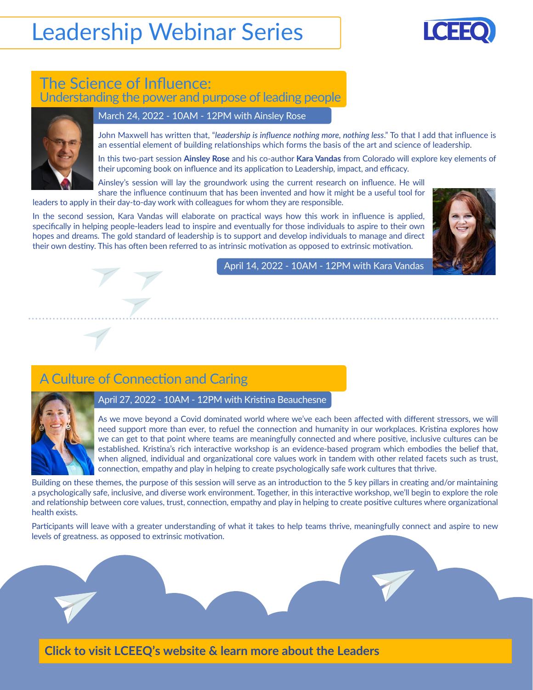# Leadership Webinar Series



## The Science of Influence: Understanding the power and purpose of leading people



#### March 24, 2022 - 10AM - 12PM with Ainsley Rose

John Maxwell has written that, "*leadership is influence nothing more, nothing less*." To that I add that influence is an essential element of building relationships which forms the basis of the art and science of leadership.

In this two-part session **Ainsley Rose** and his co-author **Kara Vandas** from Colorado will explore key elements of their upcoming book on influence and its application to Leadership, impact, and efficacy.

Ainsley's session will lay the groundwork using the current research on influence. He will share the influence continuum that has been invented and how it might be a useful tool for

leaders to apply in their day-to-day work with colleagues for whom they are responsible.

In the second session, Kara Vandas will elaborate on practical ways how this work in influence is applied, specifically in helping people-leaders lead to inspire and eventually for those individuals to aspire to their own hopes and dreams. The gold standard of leadership is to support and develop individuals to manage and direct their own destiny. This has often been referred to as intrinsic motivation as opposed to extrinsic motivation.



April 14, 2022 - 10AM - 12PM with Kara Vandas

## A Culture of Connection and Caring



April 27, 2022 - 10AM - 12PM with Kristina Beauchesne

As we move beyond a Covid dominated world where we've each been affected with different stressors, we will need support more than ever, to refuel the connection and humanity in our workplaces. Kristina explores how we can get to that point where teams are meaningfully connected and where positive, inclusive cultures can be established. Kristina's rich interactive workshop is an evidence-based program which embodies the belief that, when aligned, individual and organizational core values work in tandem with other related facets such as trust, connection, empathy and play in helping to create psychologically safe work cultures that thrive.

Building on these themes, the purpose of this session will serve as an introduction to the 5 key pillars in creating and/or maintaining a psychologically safe, inclusive, and diverse work environment. Together, in this interactive workshop, we'll begin to explore the role and relationship between core values, trust, connection, empathy and play in helping to create positive cultures where organizational health exists.

Participants will leave with a greater understanding of what it takes to help teams thrive, meaningfully connect and aspire to new levels of greatness. as opposed to extrinsic motivation.

**Click to visit LCEEQ's website & [learn more about the Leaders](https://lceeq.ca/en/leadership-school-improvement-workshop-1)**